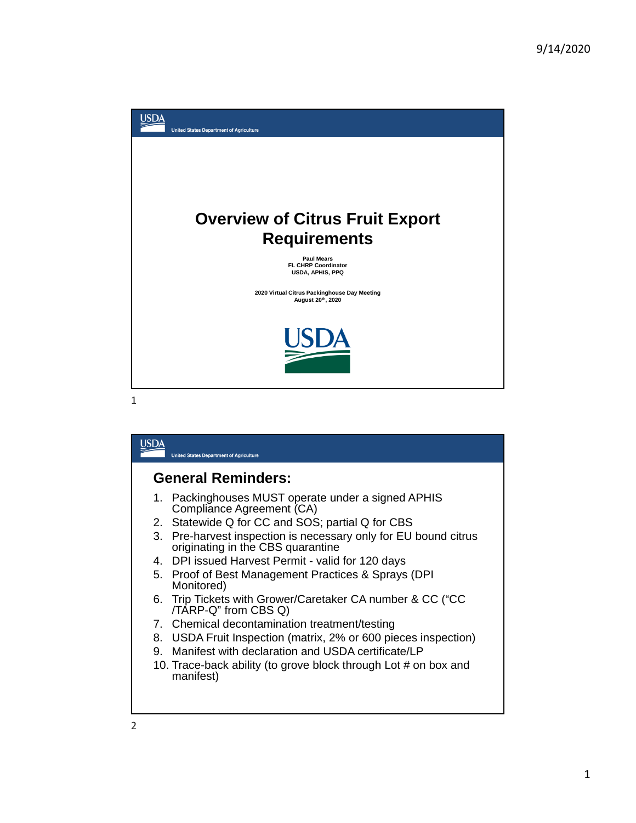

|                           | <b>United States Department of Agriculture</b>                                                    |  |
|---------------------------|---------------------------------------------------------------------------------------------------|--|
| <b>General Reminders:</b> |                                                                                                   |  |
|                           | 1. Packinghouses MUST operate under a signed APHIS<br>Compliance Agreement (CA)                   |  |
|                           | 2. Statewide Q for CC and SOS; partial Q for CBS                                                  |  |
| 3.                        | Pre-harvest inspection is necessary only for EU bound citrus<br>originating in the CBS quarantine |  |
|                           | 4. DPI issued Harvest Permit - valid for 120 days                                                 |  |
|                           | 5. Proof of Best Management Practices & Sprays (DPI<br>Monitored)                                 |  |
|                           | 6. Trip Tickets with Grower/Caretaker CA number & CC ("CC<br>/TARP-Q" from CBS Q)                 |  |
|                           | 7. Chemical decontamination treatment/testing                                                     |  |
|                           | 8. USDA Fruit Inspection (matrix, 2% or 600 pieces inspection)                                    |  |
|                           | 9. Manifest with declaration and USDA certificate/LP                                              |  |
|                           | 10. Trace-back ability (to grove block through Lot # on box and<br>manifest)                      |  |
|                           |                                                                                                   |  |
|                           |                                                                                                   |  |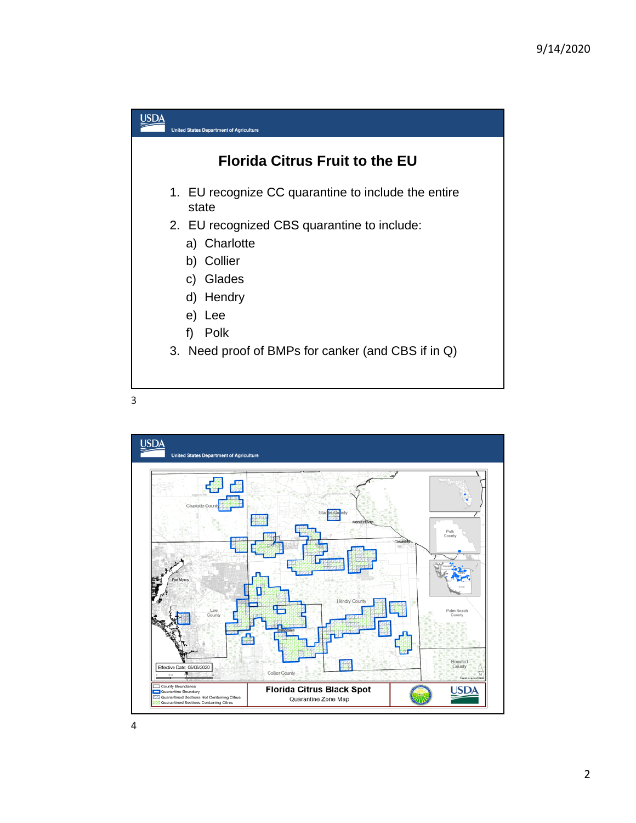



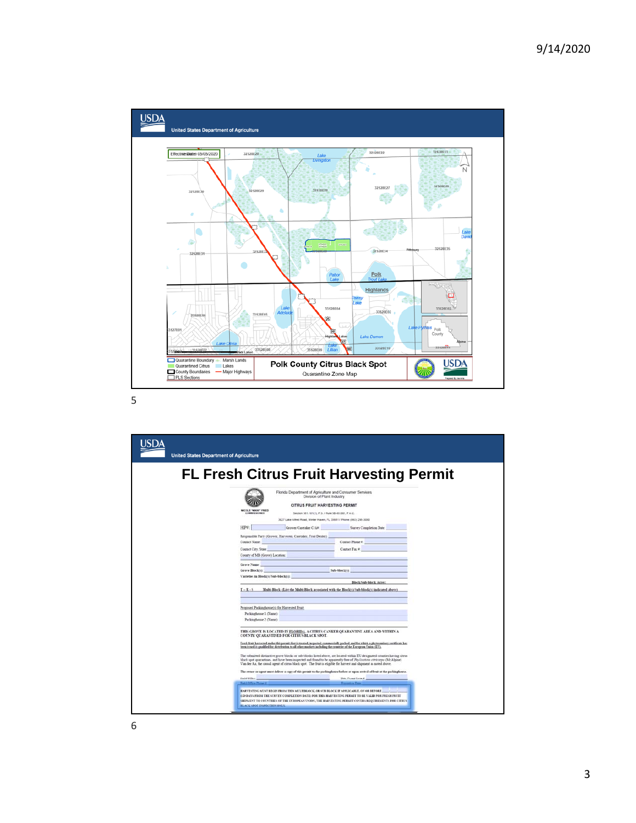

| <b>United States Department of Agriculture</b> |                                                                                                                                                                                                                                                                                                                                                                                                                                                                                                                                                                                                                                                                                                                                             |
|------------------------------------------------|---------------------------------------------------------------------------------------------------------------------------------------------------------------------------------------------------------------------------------------------------------------------------------------------------------------------------------------------------------------------------------------------------------------------------------------------------------------------------------------------------------------------------------------------------------------------------------------------------------------------------------------------------------------------------------------------------------------------------------------------|
|                                                | <b>FL Fresh Citrus Fruit Harvesting Permit</b><br>Florida Department of Agriculture and Consumer Services<br>Division of Plant Industry<br>CITRUS FRUIT HARVESTING PERMIT<br>MEDICALE "INDICAD" FRAED                                                                                                                                                                                                                                                                                                                                                                                                                                                                                                                                       |
|                                                | Section 581.101(1), F.S. / Rule 58-63.001, F.A.C.<br><b>COMMISSIONER</b><br>3027 Lake Alfred Road, Winter Haven, FL 33881 / Phone: (863) 298-3000<br>Grower Caretaker C/A# Survey Completion Date<br>HP#:<br>Responsible Party (Geower, Harvester, Caretaker, Fruit Dealer):<br>Contact Name:<br>Contact Phone #<br>Contact Fax #<br>Contact City, State<br>County of MB (Grove) Location:                                                                                                                                                                                                                                                                                                                                                  |
|                                                | Grove Name<br><b>Sub-block(t):</b> Sub-block(t):<br>Grove Blockink<br>Varieties in Block(s)/Sub-block(s):<br>Block/Sub-block Acres:<br>T - R - S Multi-Block (List the Multi-Block associated with the Block/()/Sub-block/() indicated above).                                                                                                                                                                                                                                                                                                                                                                                                                                                                                              |
|                                                | Proposed Packinghouse(s) for Harvested Fruit<br>Packinghouse 1 (Name):<br>Packinghouse 2 (Name):                                                                                                                                                                                                                                                                                                                                                                                                                                                                                                                                                                                                                                            |
|                                                | THIS GROVE IS LOCATED IN FLORIDA. A CITRUS CANKER QUARANTINE AREA AND WITHIN A<br>COUNTY QUARANTINED FOR CITRUS BLACK SPOT.<br>Fresh fruit harvested under this permit that is treated, inspected, commercially packed, and for which a phytosanitary certificate has<br>been issued is qualified for distribution to all other markets including the countries<br>The submitted distinctive grove blocks or sub-blocks listed above, are located within EU designated counties having citrus<br>black spot quaraztines, and have been inspected and found to be apparently free of Phylloattcha citricarpa (McAlpine)<br>Van der Aa, the causal agent of citrus black spot. The fruit is eligible for harvest and shipment as noted above. |
|                                                | The owner or agent must deliver a copy of this permit to the packinghouse before or upon arrival of fruit at the packinghouse.<br>Field Office.<br>Date Permit Issued:<br>Expiration Date:<br>Field Office Phone #<br>HARVESTING MUST BEGIN FROM THIS MULTIBLOCK, OR SUB BLOCK IF APPLICABLE, ON OR BEFORE<br>(150 DAYS FROM THE SURVEY COMPLETION DATE) FOR THIS HARVESTING PERMIT TO BE VALID FOR FRESH FRUIT<br>SHIPMENT TO COUNTRIES OF THE EUROPEAN UNION; THE HARVESTING PERMIT COVERS REQUIREMENTS FOR CITRUS<br><b>BLACK SPOT INSPECTION ONLY.</b>                                                                                                                                                                                  |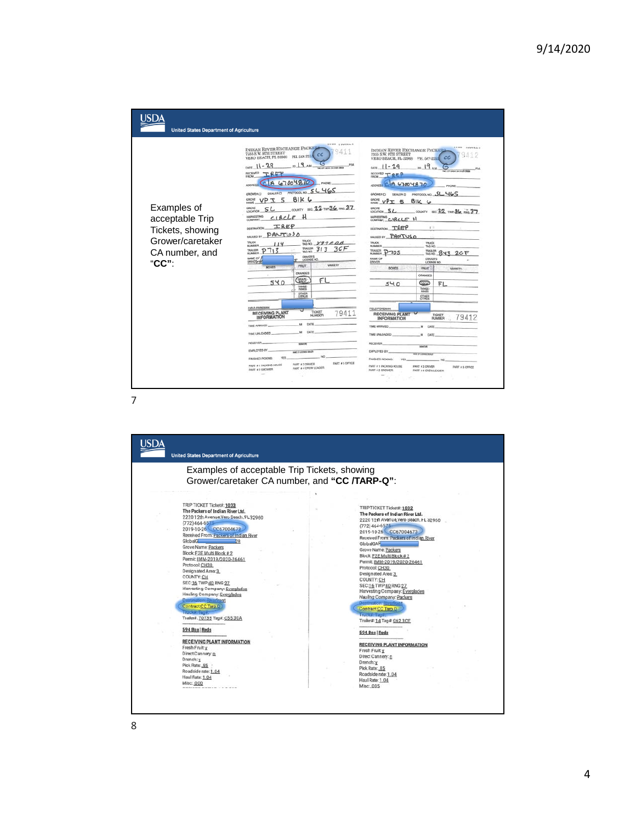

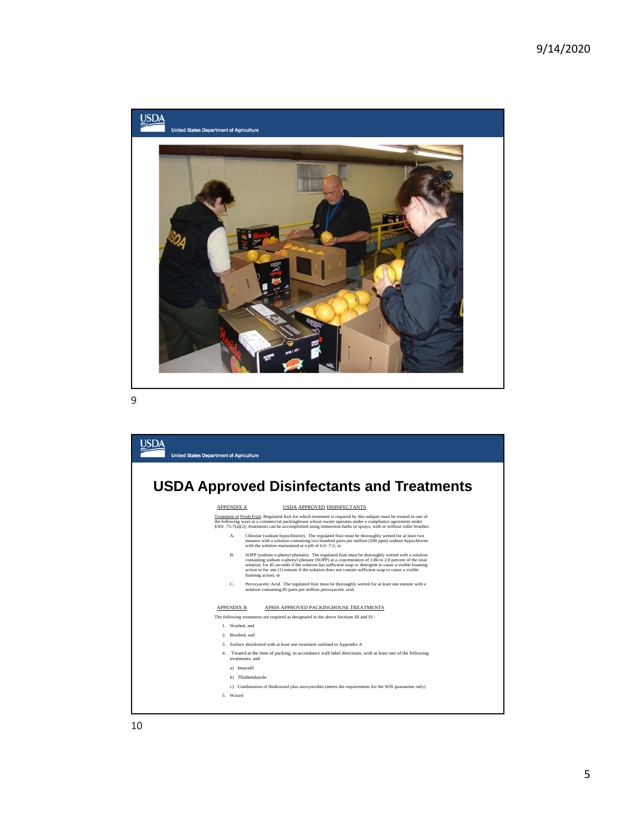

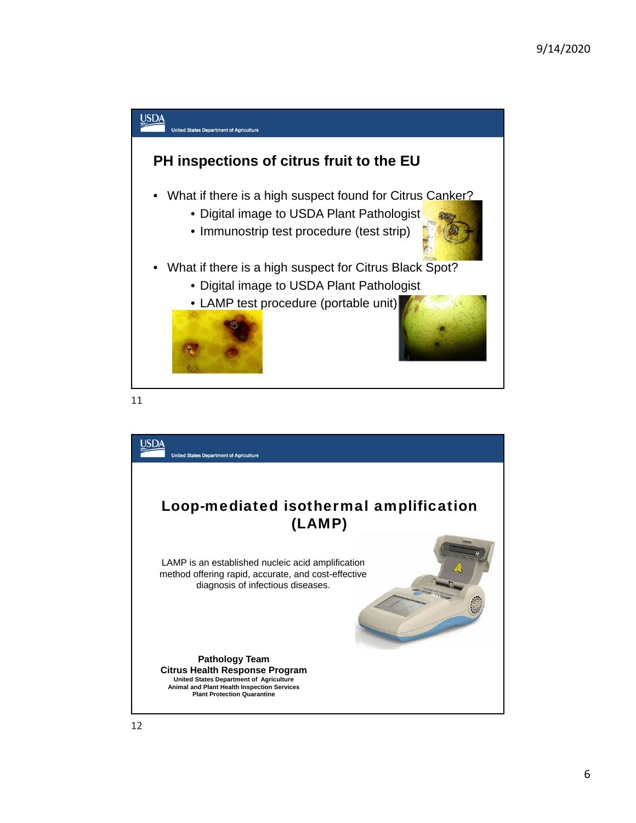

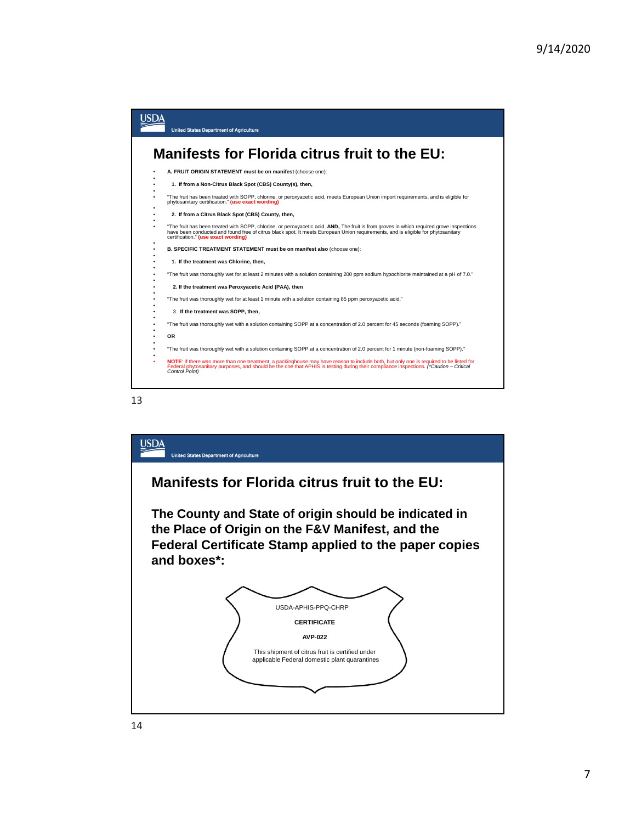



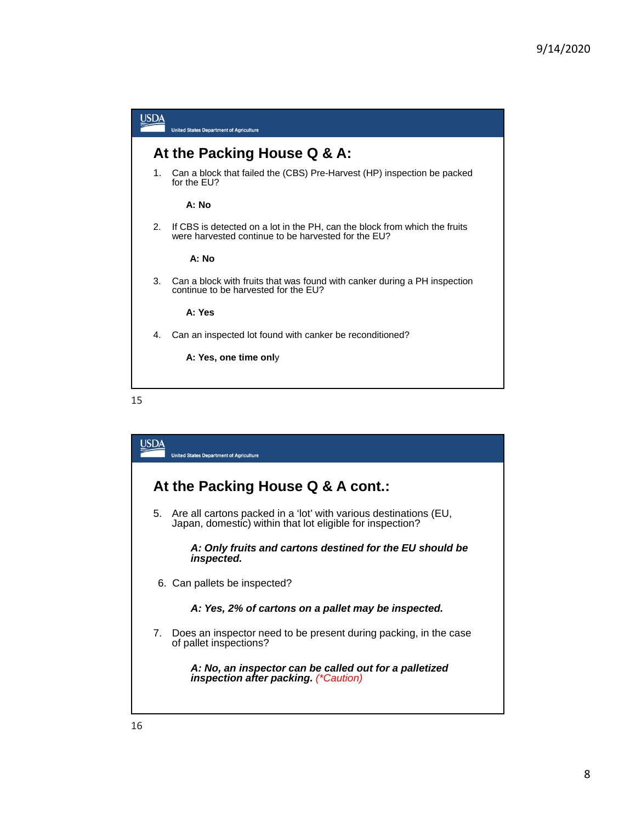



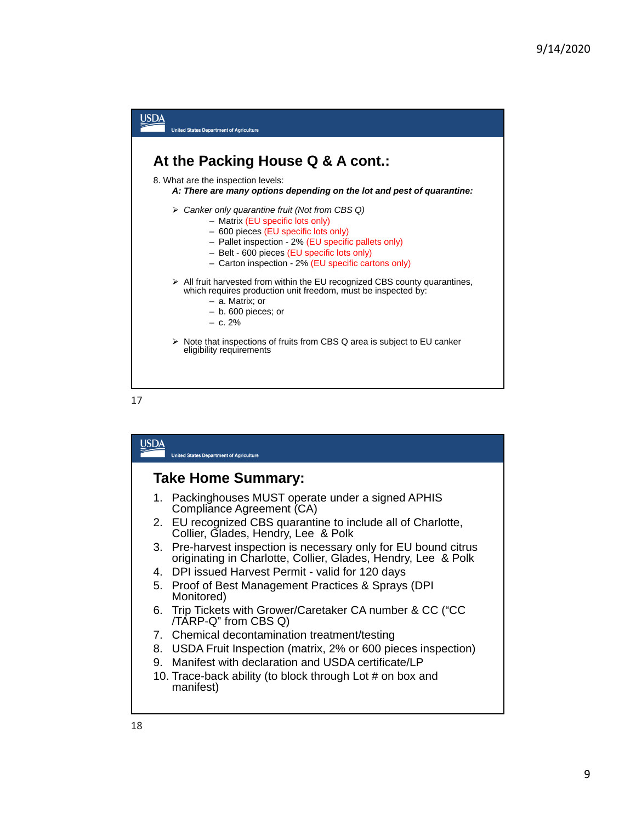